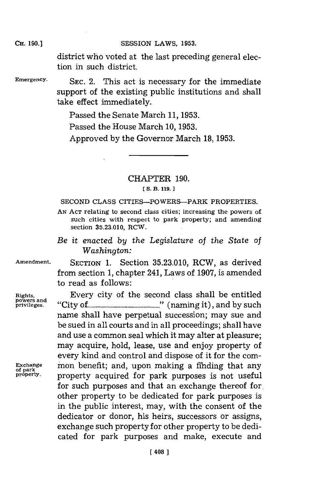district who voted at the last preceding general election in such district.

**Emergency. SEC.** 2. This act is necessary for the immediate support of the existing public institutions and shall take effect immediately.

Passed the Senate March **11, 1953.**

Passed the House March **10, 1953.**

Approved **by** the Governor March **18, 1953.**

# CHAPTER **190.**

#### **[ S. B. 119.]1**

**SECOND CLASS** CITIES-POWERS-PARK PROPERTIES.

**AN ACT** relating to second class cities; increasing the powers of such cities with respect to park property; and amending section **35.23.010,** RCW.

*Be it enacted by the Legislature of the State of Washington:*

**Amendment.** SECTION **1.** Section **35.23.010,** RCW, as derived from section **1,** chapter 241, Laws of **1907,** is amended to read as follows:

**Rights,** Every city of the second class shall be entitled **powers and privileges.** "City **of ..........................** "(aigi) (amig.i),andby.uc <sup>n</sup>**ysc** name shall have perpetual succession; may sue and be sued in all courts and in all proceedings; shall have and use a common seal which it may alter at pleasure; may acquire, hold, lease, use and enjoy property of every kind and control and dispose of it for the com-**Exchange mon benefit; and, upon making a finding that any of park** property, **property** acquired for park purposes is not useful property acquired for park purposes is not useful for such purposes and that an exchange thereof for, other property to be dedicated for park purposes is in the public interest, may, with the consent of the dedicator or donor, his heirs, successors or assigns, exchange such property for other property to be dedicated for park purposes and make, execute and

### **CH. 190.]**